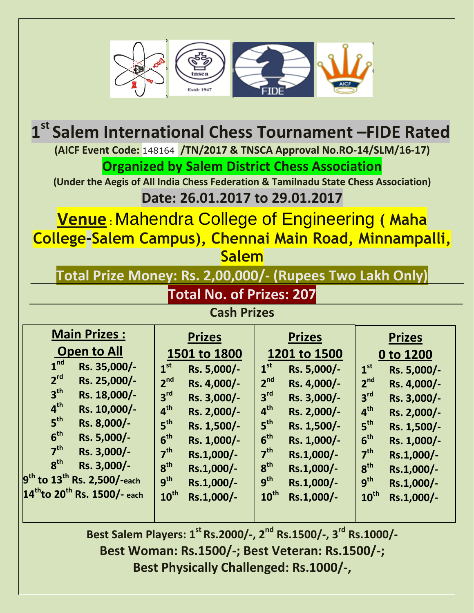

| 1st Salem International Chess Tournament -FIDE Rated                                |                                |                                |                                  |  |  |  |
|-------------------------------------------------------------------------------------|--------------------------------|--------------------------------|----------------------------------|--|--|--|
| (AICF Event Code: 148164 /TN/2017 & TNSCA Approval No.RO-14/SLM/16-17)              |                                |                                |                                  |  |  |  |
| <b>Organized by Salem District Chess Association</b>                                |                                |                                |                                  |  |  |  |
| (Under the Aegis of All India Chess Federation & Tamilnadu State Chess Association) |                                |                                |                                  |  |  |  |
| Date: 26.01.2017 to 29.01.2017                                                      |                                |                                |                                  |  |  |  |
| <b>Venue: Mahendra College of Engineering (Maha</b>                                 |                                |                                |                                  |  |  |  |
| College-Salem Campus), Chennai Main Road, Minnampalli,                              |                                |                                |                                  |  |  |  |
| <b>Salem</b>                                                                        |                                |                                |                                  |  |  |  |
|                                                                                     |                                |                                |                                  |  |  |  |
| Total Prize Money: Rs. 2,00,000/- (Rupees Two Lakh Only)                            |                                |                                |                                  |  |  |  |
| <b>Total No. of Prizes: 207</b>                                                     |                                |                                |                                  |  |  |  |
| <b>Cash Prizes</b>                                                                  |                                |                                |                                  |  |  |  |
| <b>Main Prizes:</b>                                                                 | <b>Prizes</b><br><b>Prizes</b> |                                | <b>Prizes</b>                    |  |  |  |
| <b>Open to All</b>                                                                  | 1501 to 1800                   | 1201 to 1500                   | 0 to 1200                        |  |  |  |
| 1 <sup>nd</sup><br>Rs. 35,000/-                                                     | 1 <sup>st</sup><br>Rs. 5,000/- | 1 <sup>st</sup><br>Rs. 5,000/- | 1 <sup>st</sup><br>Rs. 5,000/-   |  |  |  |
| 2 <sup>rd</sup><br>Rs. 25,000/-                                                     | 2 <sup>nd</sup><br>Rs. 4,000/- | 2 <sup>nd</sup><br>Rs. 4,000/- | 2 <sup>nd</sup><br>Rs. 4,000/-   |  |  |  |
| 3 <sup>th</sup><br>Rs. 18,000/-                                                     | 3 <sup>rd</sup><br>Rs. 3,000/- | 3 <sup>rd</sup><br>Rs. 3,000/- | 3 <sup>rd</sup><br>Rs. 3,000/-   |  |  |  |
| 4 <sup>th</sup><br>Rs. 10,000/-<br>5 <sup>th</sup>                                  | 4 <sup>th</sup><br>Rs. 2,000/- | 4 <sup>th</sup><br>Rs. 2,000/- | 4 <sup>th</sup><br>Rs. 2,000/-   |  |  |  |
| Rs. 8,000/-<br>6 <sup>th</sup>                                                      | 5 <sup>th</sup><br>Rs. 1,500/- | 5 <sup>th</sup><br>Rs. 1,500/- | $5^{\mathsf{th}}$<br>Rs. 1,500/- |  |  |  |
| Rs. 5,000/-<br>7 <sup>th</sup>                                                      | 6 <sup>th</sup><br>Rs. 1,000/- | 6 <sup>th</sup><br>Rs. 1,000/- | 6 <sup>th</sup><br>Rs. 1,000/-   |  |  |  |
| Rs. 3,000/-<br>8 <sup>th</sup>                                                      | 7 <sup>th</sup><br>Rs.1,000/-  | 7 <sup>th</sup><br>Rs.1,000/-  | 7 <sup>th</sup><br>Rs.1,000/-    |  |  |  |
| Rs. 3,000/-                                                                         | 8 <sup>th</sup><br>Rs.1,000/-  | 8 <sup>th</sup><br>Rs.1,000/-  | 8 <sup>th</sup><br>Rs.1,000/-    |  |  |  |
| $9^{\text{th}}$ to $13^{\text{th}}$ Rs. 2,500/-each                                 | 9 <sup>th</sup><br>Rs.1,000/-  | g <sup>th</sup><br>Rs.1,000/-  | 9 <sup>th</sup><br>Rs.1,000/-    |  |  |  |
| 14 <sup>th</sup> to 20 <sup>th</sup> Rs. 1500/- each                                | $10^{\text{th}}$<br>Rs.1,000/- | $10^{\text{th}}$<br>Rs.1,000/- | $10^{\text{th}}$<br>Rs.1,000/-   |  |  |  |

**Best Salem Players: 1 st Rs.2000/-, 2 nd Rs.1500/-, 3rd Rs.1000/- Best Woman: Rs.1500/-; Best Veteran: Rs.1500/-; Best Physically Challenged: Rs.1000/-,**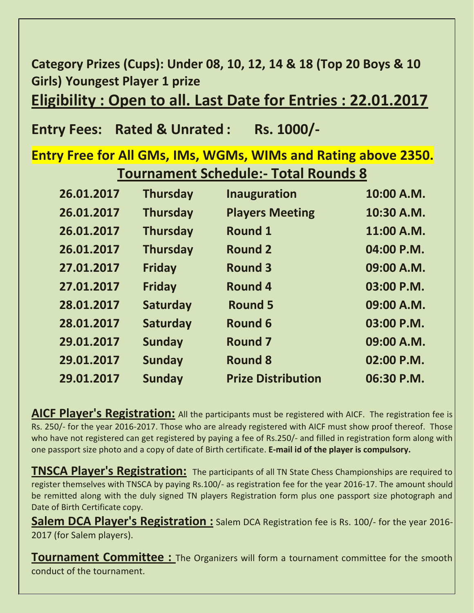**Category Prizes (Cups): Under 08, 10, 12, 14 & 18 (Top 20 Boys & 10 Girls) Youngest Player 1 prize**

**Eligibility : Open to all. Last Date for Entries : 22.01.2017**

## **Entry Fees: Rated & Unrated : Rs. 1000/-**

## **Entry Free for All GMs, IMs, WGMs, WIMs and Rating above 2350. Tournament Schedule:- Total Rounds 8**

| 26.01.2017 | <b>Thursday</b> | <b>Inauguration</b>       | 10:00 A.M. |
|------------|-----------------|---------------------------|------------|
| 26.01.2017 | <b>Thursday</b> | <b>Players Meeting</b>    | 10:30 A.M. |
| 26.01.2017 | <b>Thursday</b> | <b>Round 1</b>            | 11:00 A.M. |
| 26.01.2017 | <b>Thursday</b> | <b>Round 2</b>            | 04:00 P.M. |
| 27.01.2017 | <b>Friday</b>   | <b>Round 3</b>            | 09:00 A.M. |
| 27.01.2017 | <b>Friday</b>   | <b>Round 4</b>            | 03:00 P.M. |
| 28.01.2017 | <b>Saturday</b> | <b>Round 5</b>            | 09:00 A.M. |
| 28.01.2017 | <b>Saturday</b> | Round 6                   | 03:00 P.M. |
| 29.01.2017 | <b>Sunday</b>   | <b>Round 7</b>            | 09:00 A.M. |
| 29.01.2017 | <b>Sunday</b>   | <b>Round 8</b>            | 02:00 P.M. |
| 29.01.2017 | <b>Sunday</b>   | <b>Prize Distribution</b> | 06:30 P.M. |
|            |                 |                           |            |

**AICF Player's Registration:** All the participants must be registered with AICF. The registration fee is Rs. 250/- for the year 2016-2017. Those who are already registered with AICF must show proof thereof. Those who have not registered can get registered by paying a fee of Rs.250/- and filled in registration form along with one passport size photo and a copy of date of Birth certificate. **E-mail id of the player is compulsory.**

**TNSCA Player's Registration:** The participants of all TN State Chess Championships are required to register themselves with TNSCA by paying Rs.100/- as registration fee for the year 2016-17. The amount should be remitted along with the duly signed TN players Registration form plus one passport size photograph and Date of Birth Certificate copy.

**Salem DCA Player's Registration :** Salem DCA Registration fee is Rs. 100/- for the year 2016- 2017 (for Salem players).

**Tournament Committee :** The Organizers will form a tournament committee for the smooth conduct of the tournament.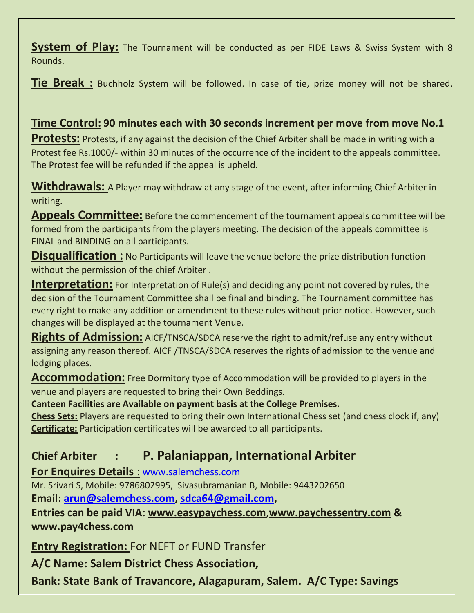**System of Play:** The Tournament will be conducted as per FIDE Laws & Swiss System with 8 Rounds.

**Tie Break :** Buchholz System will be followed. In case of tie, prize money will not be shared.

## **Time Control: 90 minutes each with 30 seconds increment per move from move No.1**

**Protests:** Protests, if any against the decision of the Chief Arbiter shall be made in writing with a Protest fee Rs.1000/- within 30 minutes of the occurrence of the incident to the appeals committee. The Protest fee will be refunded if the appeal is upheld.

**Withdrawals:** A Player may withdraw at any stage of the event, after informing Chief Arbiter in writing.

**Appeals Committee:** Before the commencement of the tournament appeals committee will be formed from the participants from the players meeting. The decision of the appeals committee is FINAL and BINDING on all participants.

**Disqualification :** No Participants will leave the venue before the prize distribution function without the permission of the chief Arbiter .

**Interpretation:** For Interpretation of Rule(s) and deciding any point not covered by rules, the decision of the Tournament Committee shall be final and binding. The Tournament committee has every right to make any addition or amendment to these rules without prior notice. However, such changes will be displayed at the tournament Venue.

**Rights of Admission:** AICF/TNSCA/SDCA reserve the right to admit/refuse any entry without assigning any reason thereof. AICF /TNSCA/SDCA reserves the rights of admission to the venue and lodging places.

**Accommodation:** Free Dormitory type of Accommodation will be provided to players in the venue and players are requested to bring their Own Beddings.

**Canteen Facilities are Available on payment basis at the College Premises.**

**Chess Sets:** Players are requested to bring their own International Chess set (and chess clock if, any) **Certificate:** Participation certificates will be awarded to all participants.

## **Chief Arbiter : P. Palaniappan, International Arbiter**

**For Enquires Details** : [www.salemchess.com](http://www.salemchess.com/)

Mr. Srivari S, Mobile: 9786802995, Sivasubramanian B, Mobile: 9443202650

**Email: [arun@salemchess.com,](mailto:arun@salemchess.com) [sdca64@gmail.com,](mailto:sdca64@gmail.com)**

**Entries can be paid VIA: [www.easypaychess.com](http://www.easypaychess.com/)[,www.paychessentry.com](http://www.paychessentry.com/) & www.pay4chess.com**

**Entry Registration:** For NEFT or FUND Transfer

**A/C Name: Salem District Chess Association,** 

**Bank: State Bank of Travancore, Alagapuram, Salem. A/C Type: Savings**